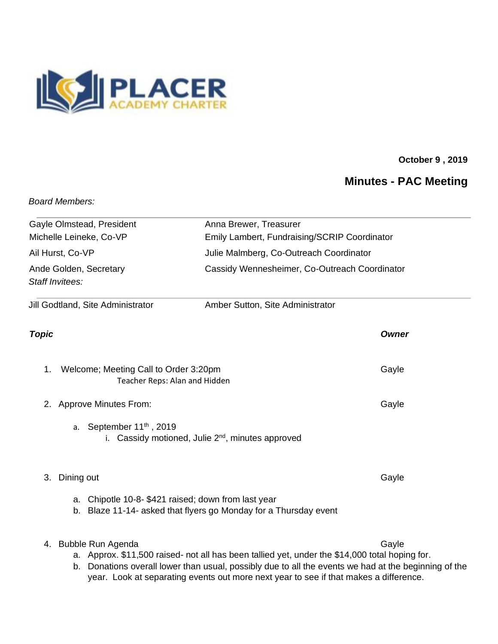

## **October 9 , 2019**

## **Minutes - PAC Meeting**

## *Board Members:*

| Gayle Olmstead, President                                                    | Anna Brewer, Treasurer                                                                                                                   |              |
|------------------------------------------------------------------------------|------------------------------------------------------------------------------------------------------------------------------------------|--------------|
| Michelle Leineke, Co-VP<br>Ail Hurst, Co-VP                                  | Emily Lambert, Fundraising/SCRIP Coordinator<br>Julie Malmberg, Co-Outreach Coordinator<br>Cassidy Wennesheimer, Co-Outreach Coordinator |              |
|                                                                              |                                                                                                                                          |              |
| Jill Godtland, Site Administrator                                            |                                                                                                                                          |              |
| <b>Topic</b>                                                                 |                                                                                                                                          | <b>Owner</b> |
| Welcome; Meeting Call to Order 3:20pm<br>1.<br>Teacher Reps: Alan and Hidden |                                                                                                                                          | Gayle        |
| <b>Approve Minutes From:</b><br>2.                                           |                                                                                                                                          | Gayle        |
| a. September $11th$ , 2019                                                   | i. Cassidy motioned, Julie 2 <sup>nd</sup> , minutes approved                                                                            |              |
| Dining out<br>3.                                                             |                                                                                                                                          | Gayle        |
| a.                                                                           | Chipotle 10-8- \$421 raised; down from last year<br>b. Blaze 11-14- asked that flyers go Monday for a Thursday event                     |              |
| 4. Bubble Run Agenda                                                         | a. Approx. \$11,500 raised- not all has been tallied yet, under the \$14,000 total hoping for.                                           | Gayle        |

b. Donations overall lower than usual, possibly due to all the events we had at the beginning of the year. Look at separating events out more next year to see if that makes a difference.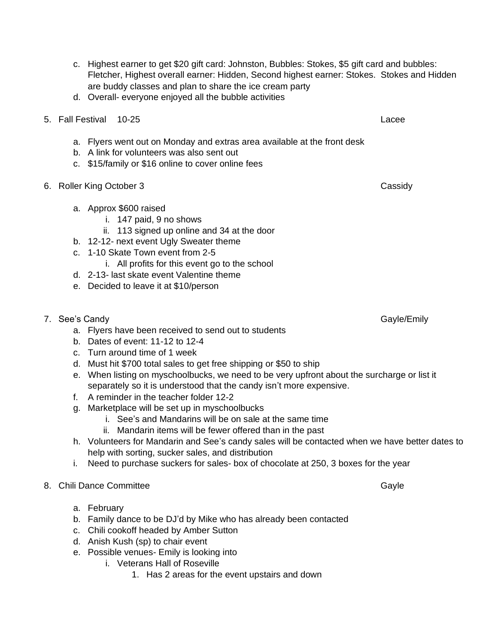6. Roller King October 3 Cassidy

b. Dates of event: 11-12 to 12-4

a. Approx \$600 raised

- c. Turn around time of 1 week
- d. Must hit \$700 total sales to get free shipping or \$50 to ship

are buddy classes and plan to share the ice cream party

5. Fall Festival 10-25 Lacee

a. Flyers went out on Monday and extras area available at the front desk

d. Overall- everyone enjoyed all the bubble activities

b. A link for volunteers was also sent out

i. 147 paid, 9 no shows

b. 12-12- next event Ugly Sweater theme

d. 2-13- last skate event Valentine theme e. Decided to leave it at \$10/person

c. 1-10 Skate Town event from 2-5

c. \$15/family or \$16 online to cover online fees

e. When listing on myschoolbucks, we need to be very upfront about the surcharge or list it separately so it is understood that the candy isn't more expensive.

c. Highest earner to get \$20 gift card: Johnston, Bubbles: Stokes, \$5 gift card and bubbles:

Fletcher, Highest overall earner: Hidden, Second highest earner: Stokes. Stokes and Hidden

- f. A reminder in the teacher folder 12-2
- g. Marketplace will be set up in myschoolbucks
	- i. See's and Mandarins will be on sale at the same time
- h. Volunteers for Mandarin and See's candy sales will be contacted when we have better dates to help with sorting, sucker sales, and distribution
- i. Need to purchase suckers for sales- box of chocolate at 250, 3 boxes for the year
- 8. Chili Dance Committee Gayle States and School and School and School and School and School and School and School and Gayle
	- a. February
	- b. Family dance to be DJ'd by Mike who has already been contacted
	- c. Chili cookoff headed by Amber Sutton
	- d. Anish Kush (sp) to chair event
	- e. Possible venues- Emily is looking into
		- i. Veterans Hall of Roseville
			- 1. Has 2 areas for the event upstairs and down

7. See's Candy Gayle Candy Gayle Communication of the Cayle Cayle Cayle Cayle Communication of the Cayle Communication of the Cayle Communication of the Cayle Communication of the Cayle Communication of the Cayle Communica a. Flyers have been received to send out to students

- -
	-

ii. 113 signed up online and 34 at the door

i. All profits for this event go to the school

- 
- 
- -
	- ii. Mandarin items will be fewer offered than in the past
- 
-